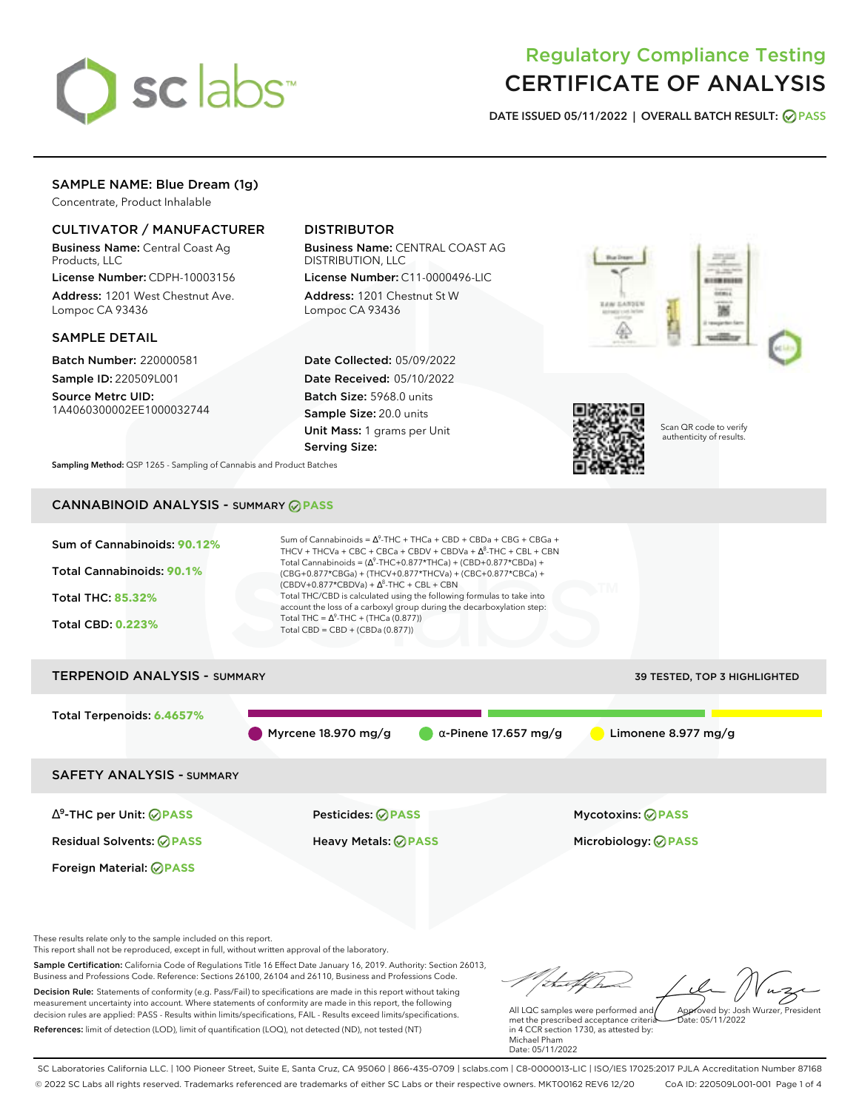

# Regulatory Compliance Testing CERTIFICATE OF ANALYSIS

**DATE ISSUED 05/11/2022 | OVERALL BATCH RESULT: PASS**

### SAMPLE NAME: Blue Dream (1g)

Concentrate, Product Inhalable

### CULTIVATOR / MANUFACTURER

Business Name: Central Coast Ag Products, LLC

License Number: CDPH-10003156 Address: 1201 West Chestnut Ave. Lompoc CA 93436

### SAMPLE DETAIL

Batch Number: 220000581 Sample ID: 220509L001

Source Metrc UID: 1A4060300002EE1000032744

## DISTRIBUTOR

Business Name: CENTRAL COAST AG DISTRIBUTION, LLC License Number: C11-0000496-LIC

Address: 1201 Chestnut St W Lompoc CA 93436

Date Collected: 05/09/2022 Date Received: 05/10/2022 Batch Size: 5968.0 units Sample Size: 20.0 units Unit Mass: 1 grams per Unit Serving Size:





Scan QR code to verify authenticity of results.

**Sampling Method:** QSP 1265 - Sampling of Cannabis and Product Batches

# CANNABINOID ANALYSIS - SUMMARY **PASS**



Foreign Material: **PASS**

Residual Solvents: **PASS** Heavy Metals: **PASS** Microbiology: **PASS**

These results relate only to the sample included on this report.

This report shall not be reproduced, except in full, without written approval of the laboratory.

Sample Certification: California Code of Regulations Title 16 Effect Date January 16, 2019. Authority: Section 26013, Business and Professions Code. Reference: Sections 26100, 26104 and 26110, Business and Professions Code. Decision Rule: Statements of conformity (e.g. Pass/Fail) to specifications are made in this report without taking measurement uncertainty into account. Where statements of conformity are made in this report, the following decision rules are applied: PASS - Results within limits/specifications, FAIL - Results exceed limits/specifications.

References: limit of detection (LOD), limit of quantification (LOQ), not detected (ND), not tested (NT)

Approved by: Josh Wurzer, President

 $hat: 05/11/2022$ 

All LQC samples were performed and met the prescribed acceptance criteria in 4 CCR section 1730, as attested by: Michael Pham Date: 05/11/2022

SC Laboratories California LLC. | 100 Pioneer Street, Suite E, Santa Cruz, CA 95060 | 866-435-0709 | sclabs.com | C8-0000013-LIC | ISO/IES 17025:2017 PJLA Accreditation Number 87168 © 2022 SC Labs all rights reserved. Trademarks referenced are trademarks of either SC Labs or their respective owners. MKT00162 REV6 12/20 CoA ID: 220509L001-001 Page 1 of 4